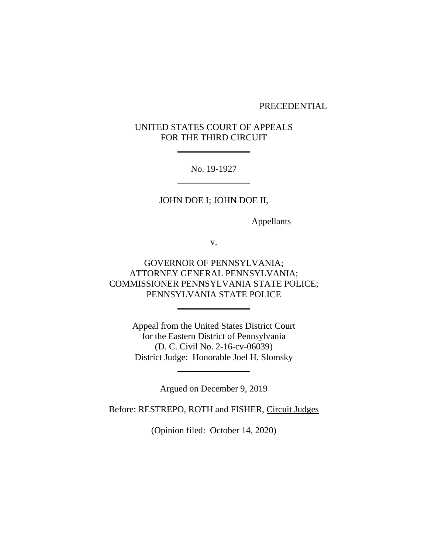#### PRECEDENTIAL

# UNITED STATES COURT OF APPEALS FOR THE THIRD CIRCUIT

 $\overline{\phantom{a}}$  , where  $\overline{\phantom{a}}$ 

No. 19-1927 \_\_\_\_\_\_\_\_\_\_\_\_\_\_\_\_

## JOHN DOE I; JOHN DOE II,

Appellants

v.

GOVERNOR OF PENNSYLVANIA; ATTORNEY GENERAL PENNSYLVANIA; COMMISSIONER PENNSYLVANIA STATE POLICE; PENNSYLVANIA STATE POLICE

 $\frac{1}{2}$  , where  $\frac{1}{2}$  , where  $\frac{1}{2}$ 

Appeal from the United States District Court for the Eastern District of Pennsylvania (D. C. Civil No. 2-16-cv-06039) District Judge: Honorable Joel H. Slomsky

Argued on December 9, 2019

 $\overline{\phantom{a}}$  , where  $\overline{\phantom{a}}$ 

Before: RESTREPO, ROTH and FISHER, Circuit Judges

(Opinion filed: October 14, 2020)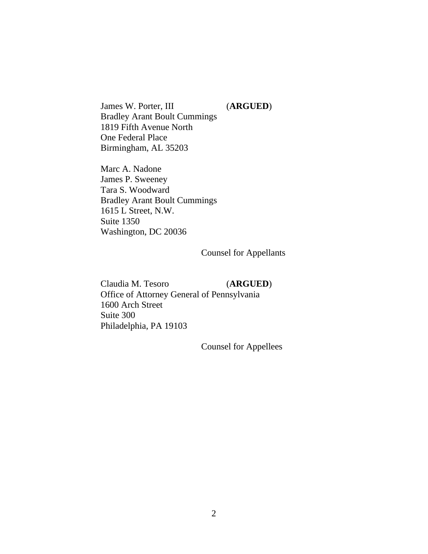James W. Porter, III (**ARGUED**) Bradley Arant Boult Cummings 1819 Fifth Avenue North One Federal Place Birmingham, AL 35203

Marc A. Nadone James P. Sweeney Tara S. Woodward Bradley Arant Boult Cummings 1615 L Street, N.W. Suite 1350 Washington, DC 20036

Counsel for Appellants

Claudia M. Tesoro (**ARGUED**) Office of Attorney General of Pennsylvania 1600 Arch Street Suite 300 Philadelphia, PA 19103

Counsel for Appellees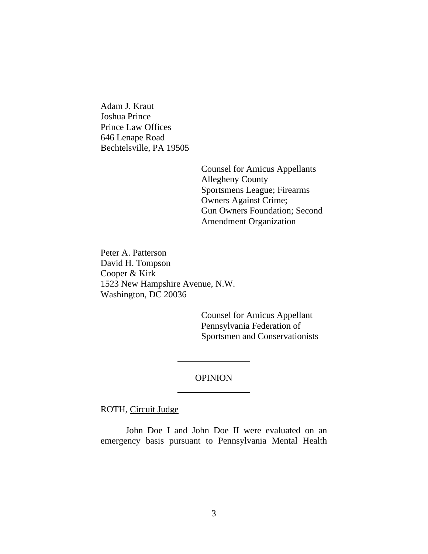Adam J. Kraut Joshua Prince Prince Law Offices 646 Lenape Road Bechtelsville, PA 19505

> Counsel for Amicus Appellants Allegheny County Sportsmens League; Firearms Owners Against Crime; Gun Owners Foundation; Second Amendment Organization

Peter A. Patterson David H. Tompson Cooper & Kirk 1523 New Hampshire Avenue, N.W. Washington, DC 20036

> Counsel for Amicus Appellant Pennsylvania Federation of Sportsmen and Conservationists

# OPINION  $\frac{1}{2}$  , where  $\frac{1}{2}$  , where  $\frac{1}{2}$

 $\overline{\phantom{a}}$  , where  $\overline{\phantom{a}}$ 

ROTH, Circuit Judge

John Doe I and John Doe II were evaluated on an emergency basis pursuant to Pennsylvania Mental Health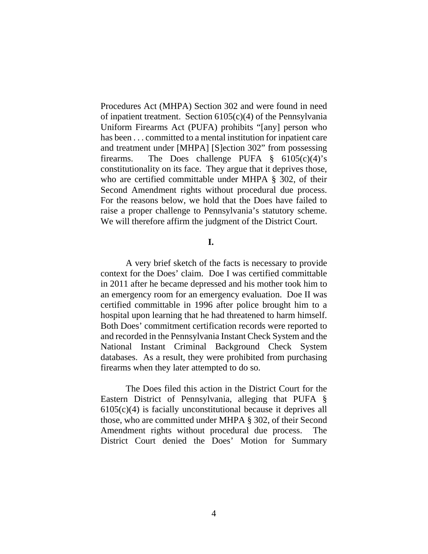Procedures Act (MHPA) Section 302 and were found in need of inpatient treatment. Section  $6105(c)(4)$  of the Pennsylvania Uniform Firearms Act (PUFA) prohibits "[any] person who has been . . . committed to a mental institution for inpatient care and treatment under [MHPA] [S]ection 302" from possessing firearms. The Does challenge PUFA  $\S$  6105(c)(4)'s constitutionality on its face. They argue that it deprives those, who are certified committable under MHPA § 302, of their Second Amendment rights without procedural due process. For the reasons below, we hold that the Does have failed to raise a proper challenge to Pennsylvania's statutory scheme. We will therefore affirm the judgment of the District Court.

#### **I.**

A very brief sketch of the facts is necessary to provide context for the Does' claim. Doe I was certified committable in 2011 after he became depressed and his mother took him to an emergency room for an emergency evaluation. Doe II was certified committable in 1996 after police brought him to a hospital upon learning that he had threatened to harm himself. Both Does' commitment certification records were reported to and recorded in the Pennsylvania Instant Check System and the National Instant Criminal Background Check System databases. As a result, they were prohibited from purchasing firearms when they later attempted to do so.

The Does filed this action in the District Court for the Eastern District of Pennsylvania, alleging that PUFA § 6105(c)(4) is facially unconstitutional because it deprives all those, who are committed under MHPA § 302, of their Second Amendment rights without procedural due process. The District Court denied the Does' Motion for Summary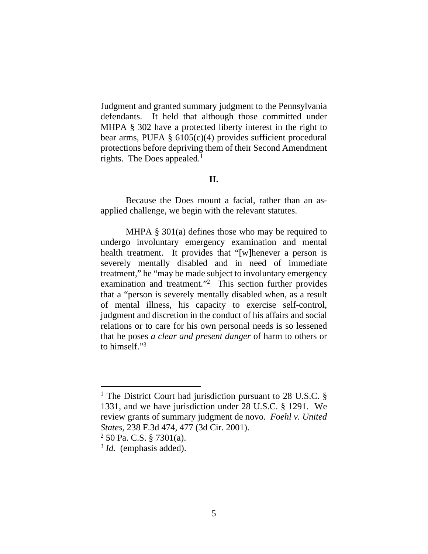Judgment and granted summary judgment to the Pennsylvania defendants. It held that although those committed under MHPA § 302 have a protected liberty interest in the right to bear arms, PUFA  $\S$  6105(c)(4) provides sufficient procedural protections before depriving them of their Second Amendment rights. The Does appealed.<sup>1</sup>

#### **II.**

Because the Does mount a facial, rather than an asapplied challenge, we begin with the relevant statutes.

MHPA § 301(a) defines those who may be required to undergo involuntary emergency examination and mental health treatment. It provides that "[w]henever a person is severely mentally disabled and in need of immediate treatment," he "may be made subject to involuntary emergency examination and treatment."<sup>2</sup> This section further provides that a "person is severely mentally disabled when, as a result of mental illness, his capacity to exercise self-control, judgment and discretion in the conduct of his affairs and social relations or to care for his own personal needs is so lessened that he poses *a clear and present danger* of harm to others or to himself."3

<sup>&</sup>lt;sup>1</sup> The District Court had jurisdiction pursuant to 28 U.S.C. § 1331, and we have jurisdiction under 28 U.S.C. § 1291. We review grants of summary judgment de novo. *Foehl v. United States*, 238 F.3d 474, 477 (3d Cir. 2001).

 $2$  50 Pa. C.S. § 7301(a).

<sup>&</sup>lt;sup>3</sup> *Id.* (emphasis added).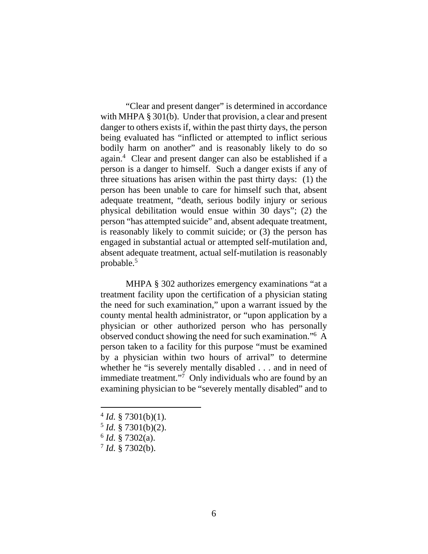"Clear and present danger" is determined in accordance with MHPA § 301(b). Under that provision, a clear and present danger to others exists if, within the past thirty days, the person being evaluated has "inflicted or attempted to inflict serious bodily harm on another" and is reasonably likely to do so again.4 Clear and present danger can also be established if a person is a danger to himself. Such a danger exists if any of three situations has arisen within the past thirty days: (1) the person has been unable to care for himself such that, absent adequate treatment, "death, serious bodily injury or serious physical debilitation would ensue within 30 days"; (2) the person "has attempted suicide" and, absent adequate treatment, is reasonably likely to commit suicide; or (3) the person has engaged in substantial actual or attempted self-mutilation and, absent adequate treatment, actual self-mutilation is reasonably probable.5

MHPA § 302 authorizes emergency examinations "at a treatment facility upon the certification of a physician stating the need for such examination," upon a warrant issued by the county mental health administrator, or "upon application by a physician or other authorized person who has personally observed conduct showing the need for such examination."6 A person taken to a facility for this purpose "must be examined by a physician within two hours of arrival" to determine whether he "is severely mentally disabled . . . and in need of immediate treatment."<sup>7</sup> Only individuals who are found by an examining physician to be "severely mentally disabled" and to

- $4$  *Id.* § 7301(b)(1).
- $5$  *Id.* § 7301(b)(2).
- <sup>6</sup> *Id.* § 7302(a).
- <sup>7</sup> *Id.* § 7302(b).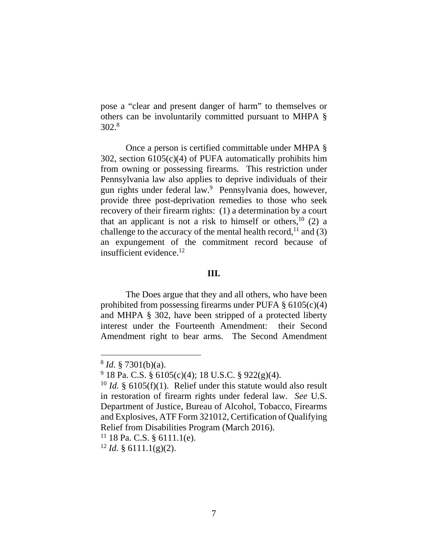pose a "clear and present danger of harm" to themselves or others can be involuntarily committed pursuant to MHPA § 302.8

Once a person is certified committable under MHPA § 302, section 6105(c)(4) of PUFA automatically prohibits him from owning or possessing firearms. This restriction under Pennsylvania law also applies to deprive individuals of their gun rights under federal law.<sup>9</sup> Pennsylvania does, however, provide three post-deprivation remedies to those who seek recovery of their firearm rights: (1) a determination by a court that an applicant is not a risk to himself or others,  $10(2)$  a challenge to the accuracy of the mental health record,  $11$  and (3) an expungement of the commitment record because of insufficient evidence.12

### **III.**

The Does argue that they and all others, who have been prohibited from possessing firearms under PUFA  $\S$  6105(c)(4) and MHPA § 302, have been stripped of a protected liberty interest under the Fourteenth Amendment: their Second Amendment right to bear arms. The Second Amendment

<sup>8</sup> *Id*. § 7301(b)(a).

 $9$  18 Pa. C.S. § 6105(c)(4); 18 U.S.C. § 922(g)(4).

<sup>&</sup>lt;sup>10</sup> *Id.* § 6105(f)(1). Relief under this statute would also result in restoration of firearm rights under federal law. *See* U.S. Department of Justice, Bureau of Alcohol, Tobacco, Firearms and Explosives, ATF Form 321012, Certification of Qualifying Relief from Disabilities Program (March 2016).

 $11$  18 Pa. C.S. § 6111.1(e).

 $12$  *Id.* § 6111.1(g)(2).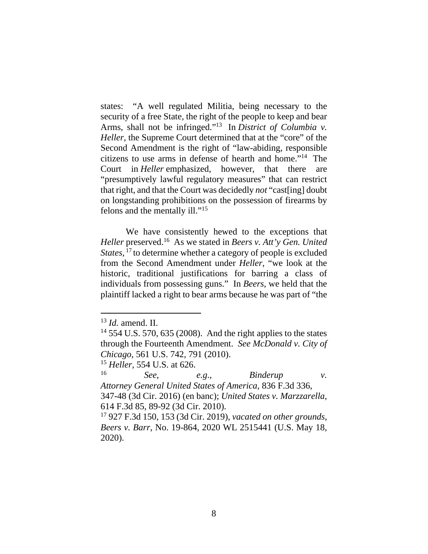states: "A well regulated Militia, being necessary to the security of a free State, the right of the people to keep and bear Arms, shall not be infringed."13 In *District of Columbia v. Heller*, the Supreme Court determined that at the "core" of the Second Amendment is the right of "law-abiding, responsible citizens to use arms in defense of hearth and home."14 The Court in *Heller* emphasized, however, that there are "presumptively lawful regulatory measures" that can restrict that right, and that the Court was decidedly *not* "cast[ing] doubt on longstanding prohibitions on the possession of firearms by felons and the mentally ill."15

We have consistently hewed to the exceptions that *Heller* preserved.16 As we stated in *Beers v. Att'y Gen. United States,* 17 to determine whether a category of people is excluded from the Second Amendment under *Heller*, "we look at the historic, traditional justifications for barring a class of individuals from possessing guns." In *Beers*, we held that the plaintiff lacked a right to bear arms because he was part of "the

<sup>13</sup> *Id.* amend. II.

 $14$  554 U.S. 570, 635 (2008). And the right applies to the states through the Fourteenth Amendment. *See McDonald v. City of Chicago*, 561 U.S. 742, 791 (2010).

<sup>&</sup>lt;sup>15</sup> *Heller*, 554 U.S. at 626.

<sup>16</sup> *See, e.g*., *Binderup v. Attorney General United States of America*, 836 F.3d 336, 347-48 (3d Cir. 2016) (en banc); *United States v. Marzzarella*,

<sup>614</sup> F.3d 85, 89-92 (3d Cir. 2010).

<sup>17 927</sup> F.3d 150, 153 (3d Cir. 2019), *vacated on other grounds*, *Beers v. Barr*, No. 19-864, 2020 WL 2515441 (U.S. May 18, 2020).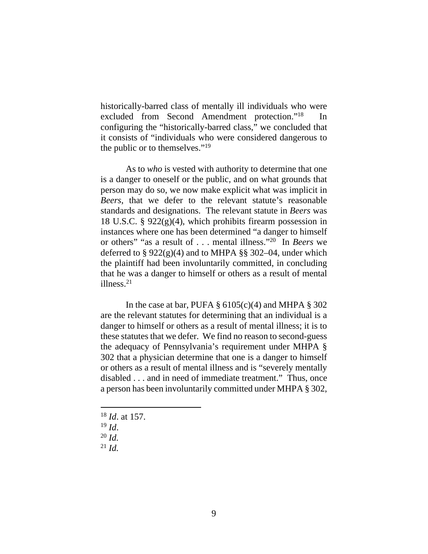historically-barred class of mentally ill individuals who were excluded from Second Amendment protection."<sup>18</sup> configuring the "historically-barred class," we concluded that it consists of "individuals who were considered dangerous to the public or to themselves."19

As to *who* is vested with authority to determine that one is a danger to oneself or the public, and on what grounds that person may do so, we now make explicit what was implicit in *Beers*, that we defer to the relevant statute's reasonable standards and designations. The relevant statute in *Beers* was 18 U.S.C. §  $922(g)(4)$ , which prohibits firearm possession in instances where one has been determined "a danger to himself or others" "as a result of . . . mental illness."20 In *Beers* we deferred to  $\S 922(g)(4)$  and to MHPA  $\S § 302-04$ , under which the plaintiff had been involuntarily committed, in concluding that he was a danger to himself or others as a result of mental illness.21

In the case at bar, PUFA  $\S$  6105(c)(4) and MHPA  $\S$  302 are the relevant statutes for determining that an individual is a danger to himself or others as a result of mental illness; it is to these statutes that we defer. We find no reason to second-guess the adequacy of Pennsylvania's requirement under MHPA § 302 that a physician determine that one is a danger to himself or others as a result of mental illness and is "severely mentally disabled . . . and in need of immediate treatment." Thus, once a person has been involuntarily committed under MHPA § 302,

 $^{18}$  *Id.* at 157.<br> $^{19}$  *Id.* 

 $\frac{20}{21}$  *Id.* 21 *Id.*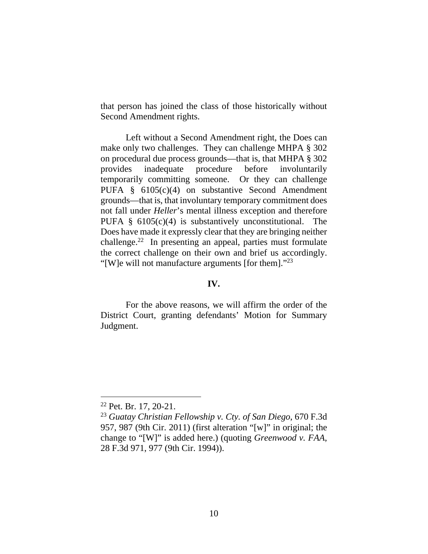that person has joined the class of those historically without Second Amendment rights.

Left without a Second Amendment right, the Does can make only two challenges. They can challenge MHPA § 302 on procedural due process grounds—that is, that MHPA § 302 provides inadequate procedure before involuntarily temporarily committing someone. Or they can challenge PUFA § 6105(c)(4) on substantive Second Amendment grounds—that is, that involuntary temporary commitment does not fall under *Heller*'s mental illness exception and therefore PUFA  $\S$  6105(c)(4) is substantively unconstitutional. The Does have made it expressly clear that they are bringing neither challenge.22 In presenting an appeal, parties must formulate the correct challenge on their own and brief us accordingly. "[W]e will not manufacture arguments [for them]."<sup>23</sup>

### **IV.**

For the above reasons, we will affirm the order of the District Court, granting defendants' Motion for Summary Judgment.

<sup>22</sup> Pet. Br. 17, 20-21.

<sup>23</sup> *Guatay Christian Fellowship v. Cty. of San Diego*, 670 F.3d 957, 987 (9th Cir. 2011) (first alteration "[w]" in original; the change to "[W]" is added here.) (quoting *Greenwood v. FAA*, 28 F.3d 971, 977 (9th Cir. 1994)).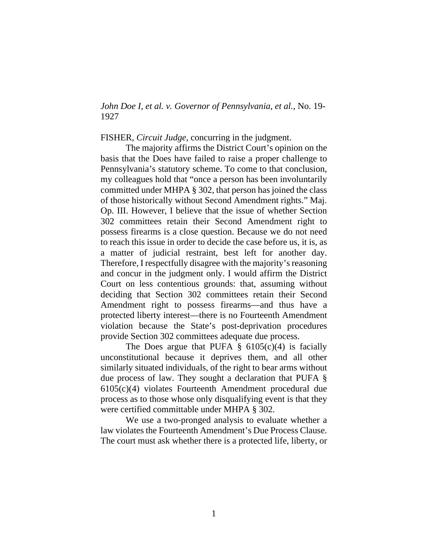*John Doe I, et al. v. Governor of Pennsylvania, et al.*, No. 19- 1927

FISHER, *Circuit Judge*, concurring in the judgment.

The majority affirms the District Court's opinion on the basis that the Does have failed to raise a proper challenge to Pennsylvania's statutory scheme. To come to that conclusion, my colleagues hold that "once a person has been involuntarily committed under MHPA § 302, that person has joined the class of those historically without Second Amendment rights." Maj. Op. III. However, I believe that the issue of whether Section 302 committees retain their Second Amendment right to possess firearms is a close question. Because we do not need to reach this issue in order to decide the case before us, it is, as a matter of judicial restraint, best left for another day. Therefore, I respectfully disagree with the majority's reasoning and concur in the judgment only. I would affirm the District Court on less contentious grounds: that, assuming without deciding that Section 302 committees retain their Second Amendment right to possess firearms—and thus have a protected liberty interest—there is no Fourteenth Amendment violation because the State's post-deprivation procedures provide Section 302 committees adequate due process.

The Does argue that PUFA  $\S$  6105(c)(4) is facially unconstitutional because it deprives them, and all other similarly situated individuals, of the right to bear arms without due process of law. They sought a declaration that PUFA § 6105(c)(4) violates Fourteenth Amendment procedural due process as to those whose only disqualifying event is that they were certified committable under MHPA § 302.

We use a two-pronged analysis to evaluate whether a law violates the Fourteenth Amendment's Due Process Clause. The court must ask whether there is a protected life, liberty, or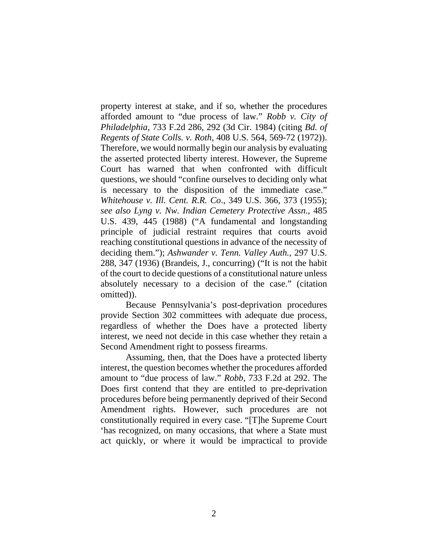property interest at stake, and if so, whether the procedures afforded amount to "due process of law." *Robb v. City of Philadelphia*, 733 F.2d 286, 292 (3d Cir. 1984) (citing *Bd. of Regents of State Colls. v. Roth*, 408 U.S. 564, 569-72 (1972)). Therefore, we would normally begin our analysis by evaluating the asserted protected liberty interest. However, the Supreme Court has warned that when confronted with difficult questions, we should "confine ourselves to deciding only what is necessary to the disposition of the immediate case." *Whitehouse v. Ill. Cent. R.R. Co*., 349 U.S. 366, 373 (1955); *see also Lyng v. Nw. Indian Cemetery Protective Assn*., 485 U.S. 439, 445 (1988) ("A fundamental and longstanding principle of judicial restraint requires that courts avoid reaching constitutional questions in advance of the necessity of deciding them."); *Ashwander v. Tenn. Valley Auth.*, 297 U.S. 288, 347 (1936) (Brandeis, J., concurring) ("It is not the habit of the court to decide questions of a constitutional nature unless absolutely necessary to a decision of the case." (citation omitted)).

Because Pennsylvania's post-deprivation procedures provide Section 302 committees with adequate due process, regardless of whether the Does have a protected liberty interest, we need not decide in this case whether they retain a Second Amendment right to possess firearms.

Assuming, then, that the Does have a protected liberty interest, the question becomes whether the procedures afforded amount to "due process of law." *Robb*, 733 F.2d at 292. The Does first contend that they are entitled to pre-deprivation procedures before being permanently deprived of their Second Amendment rights. However, such procedures are not constitutionally required in every case. "[T]he Supreme Court 'has recognized, on many occasions, that where a State must act quickly, or where it would be impractical to provide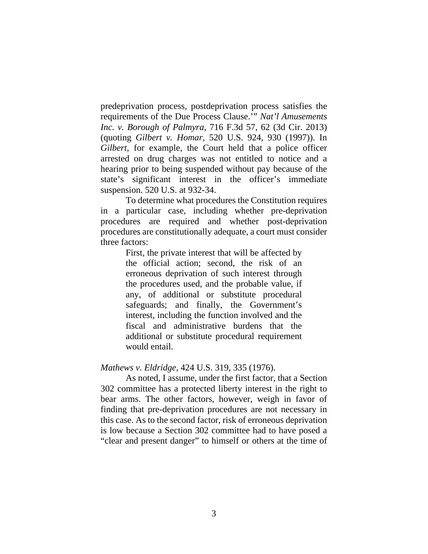predeprivation process, postdeprivation process satisfies the requirements of the Due Process Clause.'" *Nat'l Amusements Inc. v. Borough of Palmyra*, 716 F.3d 57, 62 (3d Cir. 2013) (quoting *Gilbert v. Homar*, 520 U.S. 924, 930 (1997)). In *Gilbert*, for example, the Court held that a police officer arrested on drug charges was not entitled to notice and a hearing prior to being suspended without pay because of the state's significant interest in the officer's immediate suspension. 520 U.S. at 932-34.

To determine what procedures the Constitution requires in a particular case, including whether pre-deprivation procedures are required and whether post-deprivation procedures are constitutionally adequate, a court must consider three factors:

> First, the private interest that will be affected by the official action; second, the risk of an erroneous deprivation of such interest through the procedures used, and the probable value, if any, of additional or substitute procedural safeguards; and finally, the Government's interest, including the function involved and the fiscal and administrative burdens that the additional or substitute procedural requirement would entail.

### *Mathews v. Eldridge*, 424 U.S. 319, 335 (1976).

As noted, I assume, under the first factor, that a Section 302 committee has a protected liberty interest in the right to bear arms. The other factors, however, weigh in favor of finding that pre-deprivation procedures are not necessary in this case. As to the second factor, risk of erroneous deprivation is low because a Section 302 committee had to have posed a "clear and present danger" to himself or others at the time of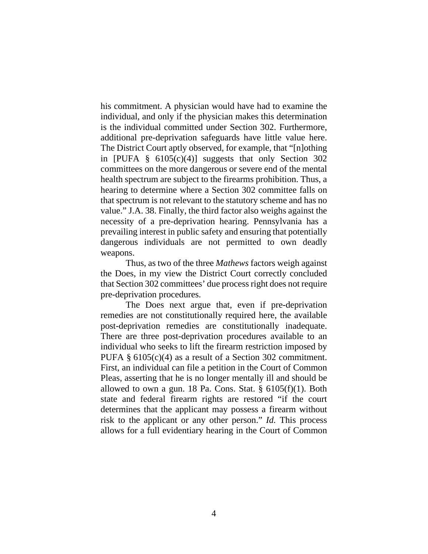his commitment. A physician would have had to examine the individual, and only if the physician makes this determination is the individual committed under Section 302. Furthermore, additional pre-deprivation safeguards have little value here. The District Court aptly observed, for example, that "[n]othing in [PUFA  $\S$  6105(c)(4)] suggests that only Section 302 committees on the more dangerous or severe end of the mental health spectrum are subject to the firearms prohibition. Thus, a hearing to determine where a Section 302 committee falls on that spectrum is not relevant to the statutory scheme and has no value." J.A. 38. Finally, the third factor also weighs against the necessity of a pre-deprivation hearing. Pennsylvania has a prevailing interest in public safety and ensuring that potentially dangerous individuals are not permitted to own deadly weapons.

Thus, as two of the three *Mathews* factors weigh against the Does, in my view the District Court correctly concluded that Section 302 committees' due process right does not require pre-deprivation procedures.

The Does next argue that, even if pre-deprivation remedies are not constitutionally required here, the available post-deprivation remedies are constitutionally inadequate. There are three post-deprivation procedures available to an individual who seeks to lift the firearm restriction imposed by PUFA § 6105(c)(4) as a result of a Section 302 commitment. First, an individual can file a petition in the Court of Common Pleas, asserting that he is no longer mentally ill and should be allowed to own a gun. 18 Pa. Cons. Stat.  $\S$  6105(f)(1). Both state and federal firearm rights are restored "if the court determines that the applicant may possess a firearm without risk to the applicant or any other person." *Id.* This process allows for a full evidentiary hearing in the Court of Common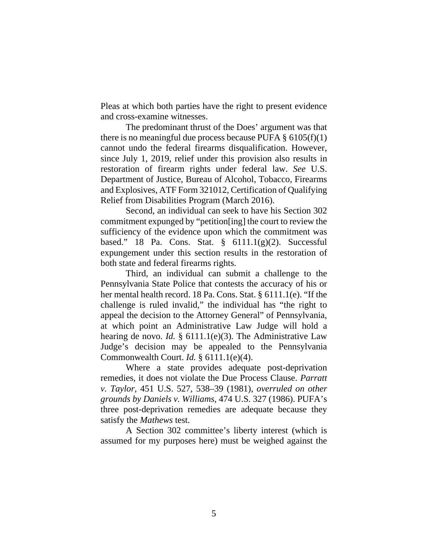Pleas at which both parties have the right to present evidence and cross-examine witnesses.

The predominant thrust of the Does' argument was that there is no meaningful due process because PUFA  $\S 6105(f)(1)$ cannot undo the federal firearms disqualification. However, since July 1, 2019, relief under this provision also results in restoration of firearm rights under federal law. *See* U.S. Department of Justice, Bureau of Alcohol, Tobacco, Firearms and Explosives, ATF Form 321012, Certification of Qualifying Relief from Disabilities Program (March 2016).

Second, an individual can seek to have his Section 302 commitment expunged by "petition[ing] the court to review the sufficiency of the evidence upon which the commitment was based." 18 Pa. Cons. Stat.  $\S$  6111.1(g)(2). Successful expungement under this section results in the restoration of both state and federal firearms rights.

Third, an individual can submit a challenge to the Pennsylvania State Police that contests the accuracy of his or her mental health record. 18 Pa. Cons. Stat. § 6111.1(e). "If the challenge is ruled invalid," the individual has "the right to appeal the decision to the Attorney General" of Pennsylvania, at which point an Administrative Law Judge will hold a hearing de novo. *Id.* § 6111.1(e)(3). The Administrative Law Judge's decision may be appealed to the Pennsylvania Commonwealth Court. *Id.* § 6111.1(e)(4).

Where a state provides adequate post-deprivation remedies, it does not violate the Due Process Clause. *Parratt v. Taylor*, 451 U.S. 527, 538–39 (1981), *overruled on other grounds by Daniels v. Williams*, 474 U.S. 327 (1986). PUFA's three post-deprivation remedies are adequate because they satisfy the *Mathews* test.

A Section 302 committee's liberty interest (which is assumed for my purposes here) must be weighed against the